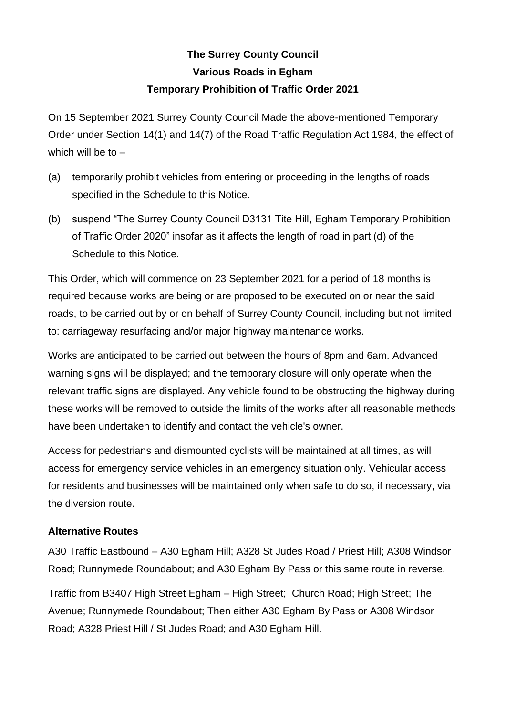## **The Surrey County Council Various Roads in Egham Temporary Prohibition of Traffic Order 2021**

On 15 September 2021 Surrey County Council Made the above-mentioned Temporary Order under Section 14(1) and 14(7) of the Road Traffic Regulation Act 1984, the effect of which will be to  $-$ 

- (a) temporarily prohibit vehicles from entering or proceeding in the lengths of roads specified in the Schedule to this Notice.
- (b) suspend "The Surrey County Council D3131 Tite Hill, Egham Temporary Prohibition of Traffic Order 2020" insofar as it affects the length of road in part (d) of the Schedule to this Notice.

This Order, which will commence on 23 September 2021 for a period of 18 months is required because works are being or are proposed to be executed on or near the said roads, to be carried out by or on behalf of Surrey County Council, including but not limited to: carriageway resurfacing and/or major highway maintenance works.

Works are anticipated to be carried out between the hours of 8pm and 6am. Advanced warning signs will be displayed; and the temporary closure will only operate when the relevant traffic signs are displayed. Any vehicle found to be obstructing the highway during these works will be removed to outside the limits of the works after all reasonable methods have been undertaken to identify and contact the vehicle's owner.

Access for pedestrians and dismounted cyclists will be maintained at all times, as will access for emergency service vehicles in an emergency situation only. Vehicular access for residents and businesses will be maintained only when safe to do so, if necessary, via the diversion route.

## **Alternative Routes**

A30 Traffic Eastbound – A30 Egham Hill; A328 St Judes Road / Priest Hill; A308 Windsor Road; Runnymede Roundabout; and A30 Egham By Pass or this same route in reverse.

Traffic from B3407 High Street Egham – High Street; Church Road; High Street; The Avenue; Runnymede Roundabout; Then either A30 Egham By Pass or A308 Windsor Road; A328 Priest Hill / St Judes Road; and A30 Egham Hill.